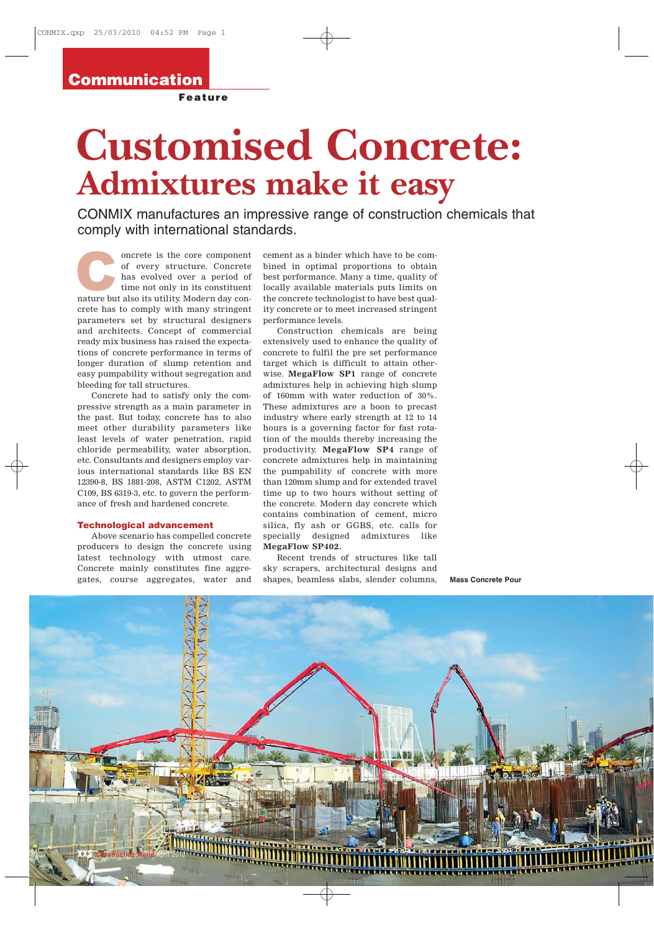## Communication

Feature

## **Customised Concrete: Admixtures make it easy**

CONMIX manufactures an impressive range of construction chemicals that comply with international standards.

oncrete is the core component of every structure. Concrete has evolved over a period of time not only in its constituent oncrete is the core component of every structure. Concrete has evolved over a period of time not only in its constituent nature but also its utility. Modern day concrete has to comply with many stringent parameters set by structural designers and architects. Concept of commercial ready mix business has raised the expectations of concrete performance in terms of longer duration of slump retention and easy pumpability without segregation and bleeding for tall structures.

Concrete had to satisfy only the compressive strength as a main parameter in the past. But today, concrete has to also meet other durability parameters like least levels of water penetration, rapid chloride permeability, water absorption, etc. Consultants and designers employ various international standards like BS EN 12390-8, BS 1881-208, ASTM C1202, ASTM C109, BS 6319-3, etc. to govern the performance of fresh and hardened concrete.

## Technological advancement

Above scenario has compelled concrete producers to design the concrete using latest technology with utmost care. Concrete mainly constitutes fine aggregates, course aggregates, water and

cement as a binder which have to be combined in optimal proportions to obtain best performance. Many a time, quality of locally available materials puts limits on the concrete technologist to have best quality concrete or to meet increased stringent performance levels.

Construction chemicals are being extensively used to enhance the quality of concrete to fulfil the pre set performance target which is difficult to attain otherwise. **MegaFlow SP1** range of concrete admixtures help in achieving high slump of 160mm with water reduction of 30%. These admixtures are a boon to precast industry where early strength at 12 to 14 hours is a governing factor for fast rotation of the moulds thereby increasing the productivity. **MegaFlow SP4** range of concrete admixtures help in maintaining the pumpability of concrete with more than 120mm slump and for extended travel time up to two hours without setting of the concrete. Modern day concrete which contains combination of cement, micro silica, fly ash or GGBS, etc. calls for specially designed admixtures like **MegaFlow SP402.**

Recent trends of structures like tall sky scrapers, architectural designs and shapes, beamless slabs, slender columns,

**Mass Concrete Pour**